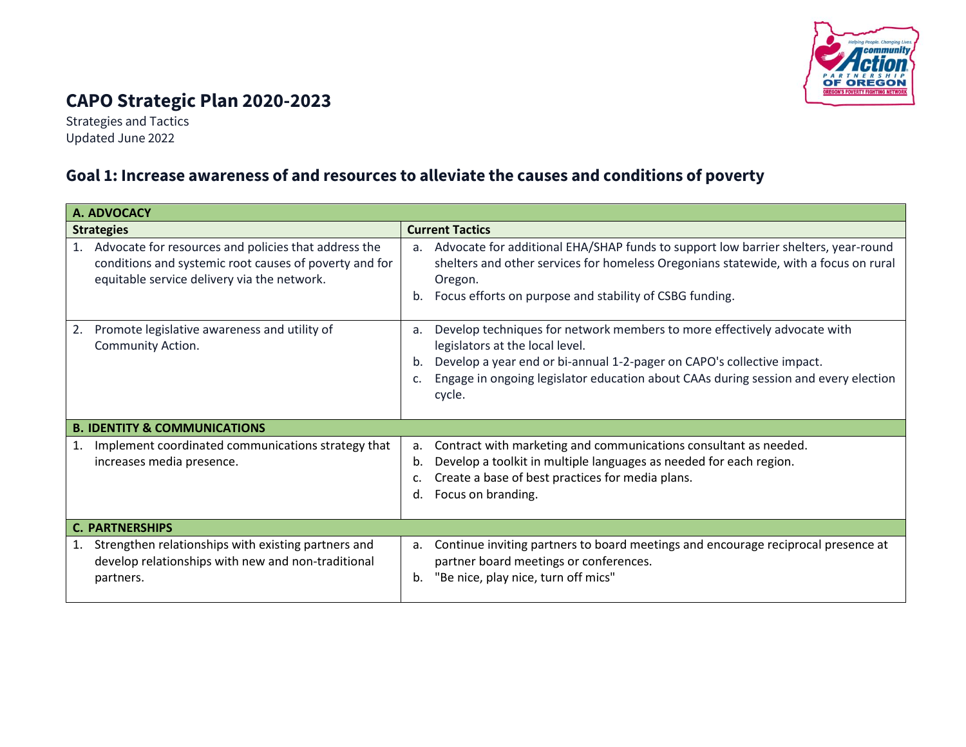

# **CAPO Strategic Plan 2020-2023**

Strategies and Tactics Updated June 2022

### **Goal 1: Increase awareness of and resources to alleviate the causes and conditions of poverty**

| A. ADVOCACY                                                                                                                                                         |                                                                                                                                                                                                                                                                                                          |  |
|---------------------------------------------------------------------------------------------------------------------------------------------------------------------|----------------------------------------------------------------------------------------------------------------------------------------------------------------------------------------------------------------------------------------------------------------------------------------------------------|--|
| <b>Strategies</b>                                                                                                                                                   | <b>Current Tactics</b>                                                                                                                                                                                                                                                                                   |  |
| Advocate for resources and policies that address the<br>1.<br>conditions and systemic root causes of poverty and for<br>equitable service delivery via the network. | Advocate for additional EHA/SHAP funds to support low barrier shelters, year-round<br>a.<br>shelters and other services for homeless Oregonians statewide, with a focus on rural<br>Oregon.<br>Focus efforts on purpose and stability of CSBG funding.<br>b.                                             |  |
| Promote legislative awareness and utility of<br>2.<br>Community Action.                                                                                             | Develop techniques for network members to more effectively advocate with<br>a.<br>legislators at the local level.<br>Develop a year end or bi-annual 1-2-pager on CAPO's collective impact.<br>b.<br>Engage in ongoing legislator education about CAAs during session and every election<br>c.<br>cycle. |  |
| <b>B. IDENTITY &amp; COMMUNICATIONS</b>                                                                                                                             |                                                                                                                                                                                                                                                                                                          |  |
| Implement coordinated communications strategy that<br>1.<br>increases media presence.                                                                               | Contract with marketing and communications consultant as needed.<br>a.<br>Develop a toolkit in multiple languages as needed for each region.<br>b.<br>Create a base of best practices for media plans.<br>Focus on branding.<br>d.                                                                       |  |
| <b>C. PARTNERSHIPS</b>                                                                                                                                              |                                                                                                                                                                                                                                                                                                          |  |
| Strengthen relationships with existing partners and<br>1.<br>develop relationships with new and non-traditional<br>partners.                                        | Continue inviting partners to board meetings and encourage reciprocal presence at<br>a.<br>partner board meetings or conferences.<br>"Be nice, play nice, turn off mics"<br>b.                                                                                                                           |  |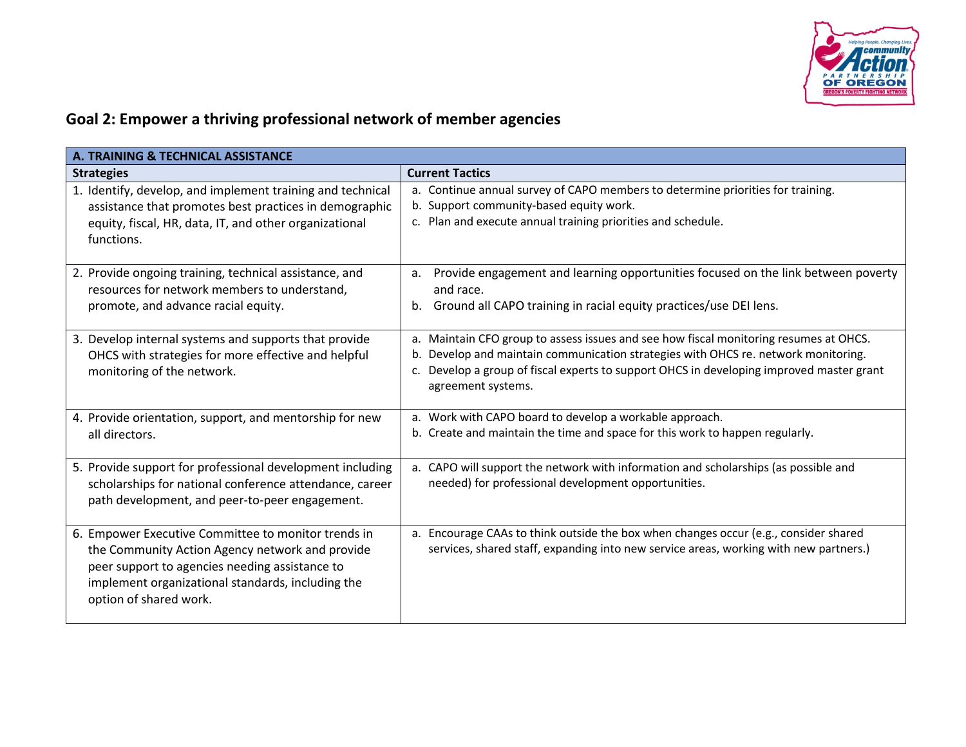

## **Goal 2: Empower a thriving professional network of member agencies**

| A. TRAINING & TECHNICAL ASSISTANCE                                                                                                                                                                                                      |                                                                                                                                                                                                                                                                                                  |  |
|-----------------------------------------------------------------------------------------------------------------------------------------------------------------------------------------------------------------------------------------|--------------------------------------------------------------------------------------------------------------------------------------------------------------------------------------------------------------------------------------------------------------------------------------------------|--|
| <b>Strategies</b>                                                                                                                                                                                                                       | <b>Current Tactics</b>                                                                                                                                                                                                                                                                           |  |
| 1. Identify, develop, and implement training and technical<br>assistance that promotes best practices in demographic<br>equity, fiscal, HR, data, IT, and other organizational<br>functions.                                            | a. Continue annual survey of CAPO members to determine priorities for training.<br>b. Support community-based equity work.<br>c. Plan and execute annual training priorities and schedule.                                                                                                       |  |
| 2. Provide ongoing training, technical assistance, and<br>resources for network members to understand,<br>promote, and advance racial equity.                                                                                           | Provide engagement and learning opportunities focused on the link between poverty<br>a.<br>and race.<br>b. Ground all CAPO training in racial equity practices/use DEI lens.                                                                                                                     |  |
| 3. Develop internal systems and supports that provide<br>OHCS with strategies for more effective and helpful<br>monitoring of the network.                                                                                              | a. Maintain CFO group to assess issues and see how fiscal monitoring resumes at OHCS.<br>Develop and maintain communication strategies with OHCS re. network monitoring.<br>b.<br>c. Develop a group of fiscal experts to support OHCS in developing improved master grant<br>agreement systems. |  |
| 4. Provide orientation, support, and mentorship for new<br>all directors.                                                                                                                                                               | a. Work with CAPO board to develop a workable approach.<br>b. Create and maintain the time and space for this work to happen regularly.                                                                                                                                                          |  |
| 5. Provide support for professional development including<br>scholarships for national conference attendance, career<br>path development, and peer-to-peer engagement.                                                                  | a. CAPO will support the network with information and scholarships (as possible and<br>needed) for professional development opportunities.                                                                                                                                                       |  |
| 6. Empower Executive Committee to monitor trends in<br>the Community Action Agency network and provide<br>peer support to agencies needing assistance to<br>implement organizational standards, including the<br>option of shared work. | a. Encourage CAAs to think outside the box when changes occur (e.g., consider shared<br>services, shared staff, expanding into new service areas, working with new partners.)                                                                                                                    |  |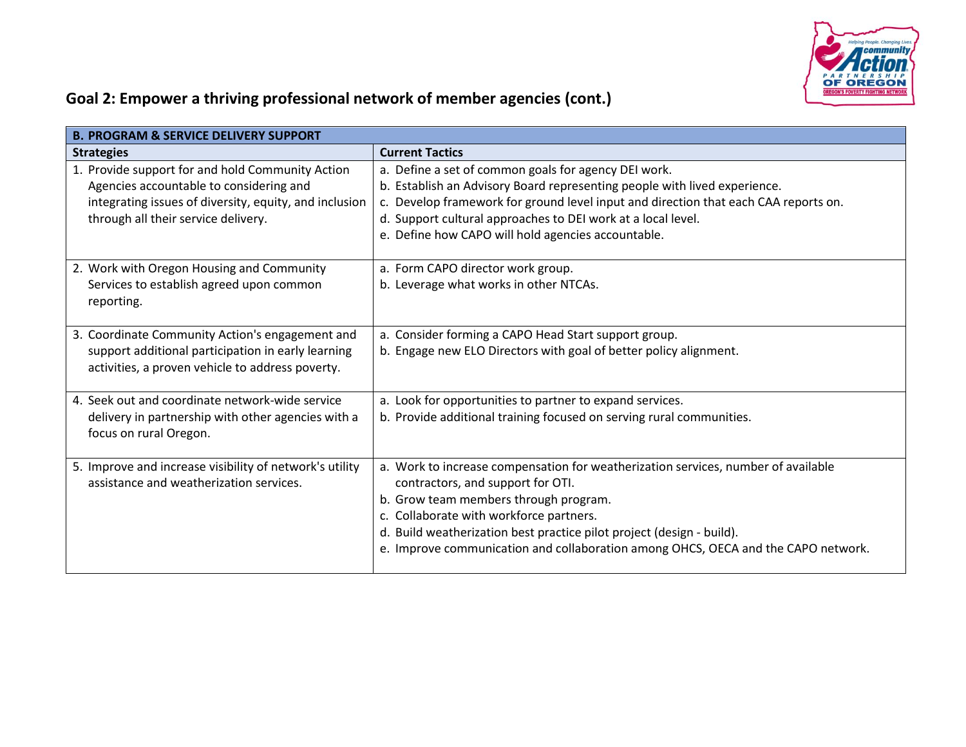

## **Goal 2: Empower a thriving professional network of member agencies (cont.)**

| <b>B. PROGRAM &amp; SERVICE DELIVERY SUPPORT</b>                                                                                                                                             |                                                                                                                                                                                                                                                                                                                                                                          |  |
|----------------------------------------------------------------------------------------------------------------------------------------------------------------------------------------------|--------------------------------------------------------------------------------------------------------------------------------------------------------------------------------------------------------------------------------------------------------------------------------------------------------------------------------------------------------------------------|--|
| <b>Strategies</b>                                                                                                                                                                            | <b>Current Tactics</b>                                                                                                                                                                                                                                                                                                                                                   |  |
| 1. Provide support for and hold Community Action<br>Agencies accountable to considering and<br>integrating issues of diversity, equity, and inclusion<br>through all their service delivery. | a. Define a set of common goals for agency DEI work.<br>b. Establish an Advisory Board representing people with lived experience.<br>c. Develop framework for ground level input and direction that each CAA reports on.<br>d. Support cultural approaches to DEI work at a local level.<br>e. Define how CAPO will hold agencies accountable.                           |  |
| 2. Work with Oregon Housing and Community<br>Services to establish agreed upon common<br>reporting.                                                                                          | a. Form CAPO director work group.<br>b. Leverage what works in other NTCAs.                                                                                                                                                                                                                                                                                              |  |
| 3. Coordinate Community Action's engagement and<br>support additional participation in early learning<br>activities, a proven vehicle to address poverty.                                    | a. Consider forming a CAPO Head Start support group.<br>b. Engage new ELO Directors with goal of better policy alignment.                                                                                                                                                                                                                                                |  |
| 4. Seek out and coordinate network-wide service<br>delivery in partnership with other agencies with a<br>focus on rural Oregon.                                                              | a. Look for opportunities to partner to expand services.<br>b. Provide additional training focused on serving rural communities.                                                                                                                                                                                                                                         |  |
| 5. Improve and increase visibility of network's utility<br>assistance and weatherization services.                                                                                           | a. Work to increase compensation for weatherization services, number of available<br>contractors, and support for OTI.<br>b. Grow team members through program.<br>c. Collaborate with workforce partners.<br>d. Build weatherization best practice pilot project (design - build).<br>e. Improve communication and collaboration among OHCS, OECA and the CAPO network. |  |